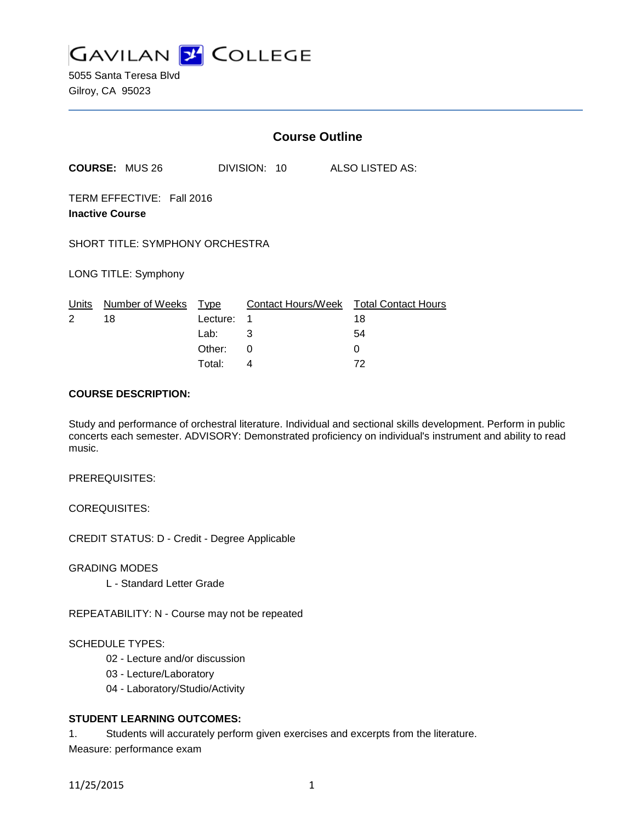

5055 Santa Teresa Blvd Gilroy, CA 95023

|                                                     |                       | <b>Course Outline</b>                        |                  |  |  |                                                               |
|-----------------------------------------------------|-----------------------|----------------------------------------------|------------------|--|--|---------------------------------------------------------------|
|                                                     | <b>COURSE: MUS 26</b> |                                              | DIVISION: 10     |  |  | <b>ALSO LISTED AS:</b>                                        |
| TERM EFFECTIVE: Fall 2016<br><b>Inactive Course</b> |                       |                                              |                  |  |  |                                                               |
| <b>SHORT TITLE: SYMPHONY ORCHESTRA</b>              |                       |                                              |                  |  |  |                                                               |
| LONG TITLE: Symphony                                |                       |                                              |                  |  |  |                                                               |
| Units<br>$\overline{2}$                             | Number of Weeks<br>18 | Type<br>Lecture:<br>Lab:<br>Other:<br>Total: | 1<br>3<br>0<br>4 |  |  | Contact Hours/Week Total Contact Hours<br>18<br>54<br>0<br>72 |

# **COURSE DESCRIPTION:**

Study and performance of orchestral literature. Individual and sectional skills development. Perform in public concerts each semester. ADVISORY: Demonstrated proficiency on individual's instrument and ability to read music.

# PREREQUISITES:

## COREQUISITES:

CREDIT STATUS: D - Credit - Degree Applicable

## GRADING MODES

L - Standard Letter Grade

REPEATABILITY: N - Course may not be repeated

## SCHEDULE TYPES:

- 02 Lecture and/or discussion
- 03 Lecture/Laboratory
- 04 Laboratory/Studio/Activity

# **STUDENT LEARNING OUTCOMES:**

1. Students will accurately perform given exercises and excerpts from the literature. Measure: performance exam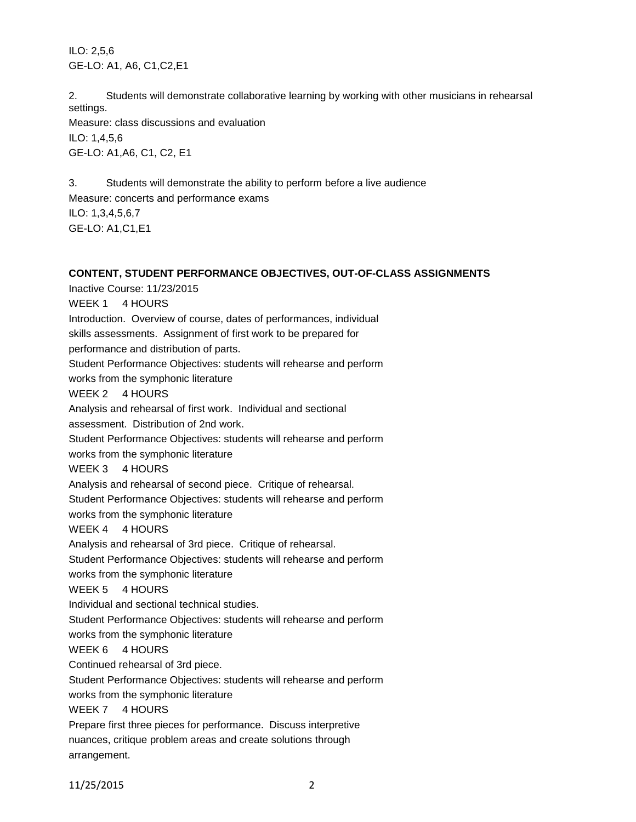ILO: 2,5,6 GE-LO: A1, A6, C1,C2,E1

2. Students will demonstrate collaborative learning by working with other musicians in rehearsal settings. Measure: class discussions and evaluation ILO: 1,4,5,6 GE-LO: A1,A6, C1, C2, E1

3. Students will demonstrate the ability to perform before a live audience Measure: concerts and performance exams ILO: 1,3,4,5,6,7 GE-LO: A1,C1,E1

# **CONTENT, STUDENT PERFORMANCE OBJECTIVES, OUT-OF-CLASS ASSIGNMENTS**

Inactive Course: 11/23/2015 WEEK 1 4 HOURS Introduction. Overview of course, dates of performances, individual skills assessments. Assignment of first work to be prepared for performance and distribution of parts. Student Performance Objectives: students will rehearse and perform works from the symphonic literature WEEK 2 4 HOURS Analysis and rehearsal of first work. Individual and sectional assessment. Distribution of 2nd work. Student Performance Objectives: students will rehearse and perform works from the symphonic literature WEEK 3 4 HOURS Analysis and rehearsal of second piece. Critique of rehearsal. Student Performance Objectives: students will rehearse and perform works from the symphonic literature WEEK 4 4 HOURS Analysis and rehearsal of 3rd piece. Critique of rehearsal. Student Performance Objectives: students will rehearse and perform works from the symphonic literature WEEK 5 4 HOURS Individual and sectional technical studies. Student Performance Objectives: students will rehearse and perform works from the symphonic literature WEEK 6 4 HOURS Continued rehearsal of 3rd piece. Student Performance Objectives: students will rehearse and perform works from the symphonic literature WEEK 7 4 HOURS Prepare first three pieces for performance. Discuss interpretive nuances, critique problem areas and create solutions through

11/25/2015 2

arrangement.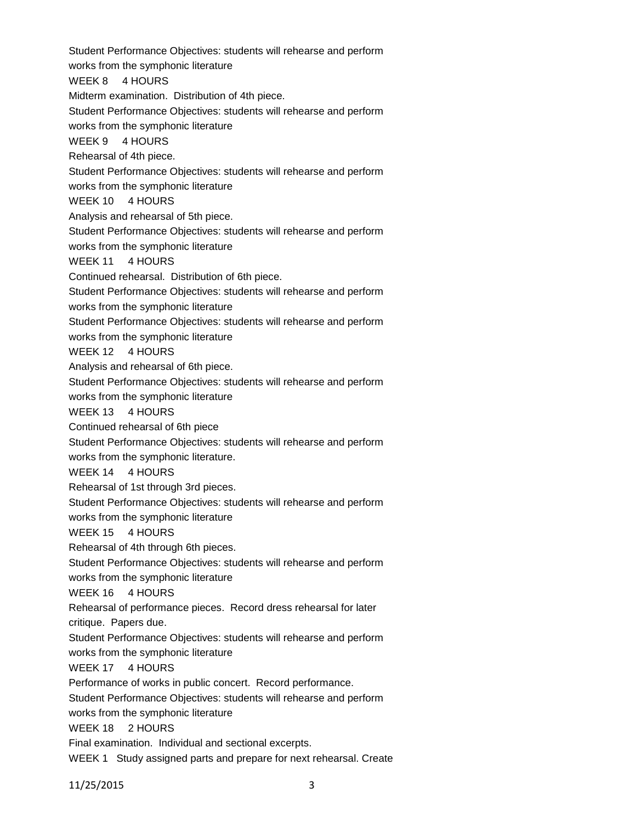Student Performance Objectives: students will rehearse and perform works from the symphonic literature WEEK 8 4 HOURS Midterm examination. Distribution of 4th piece. Student Performance Objectives: students will rehearse and perform works from the symphonic literature WEEK 9 4 HOURS Rehearsal of 4th piece. Student Performance Objectives: students will rehearse and perform works from the symphonic literature WEEK 10 4 HOURS Analysis and rehearsal of 5th piece. Student Performance Objectives: students will rehearse and perform works from the symphonic literature WEEK 11 4 HOURS Continued rehearsal. Distribution of 6th piece. Student Performance Objectives: students will rehearse and perform works from the symphonic literature Student Performance Objectives: students will rehearse and perform works from the symphonic literature WEEK 12 4 HOURS Analysis and rehearsal of 6th piece. Student Performance Objectives: students will rehearse and perform works from the symphonic literature WEEK 13 4 HOURS Continued rehearsal of 6th piece Student Performance Objectives: students will rehearse and perform works from the symphonic literature. WEEK 14 4 HOURS Rehearsal of 1st through 3rd pieces. Student Performance Objectives: students will rehearse and perform works from the symphonic literature WEEK 15 4 HOURS Rehearsal of 4th through 6th pieces. Student Performance Objectives: students will rehearse and perform works from the symphonic literature WEEK 16 4 HOURS Rehearsal of performance pieces. Record dress rehearsal for later critique. Papers due. Student Performance Objectives: students will rehearse and perform works from the symphonic literature WEEK 17 4 HOURS Performance of works in public concert. Record performance. Student Performance Objectives: students will rehearse and perform works from the symphonic literature WEEK 18 2 HOURS Final examination. Individual and sectional excerpts. WEEK 1 Study assigned parts and prepare for next rehearsal. Create

11/25/2015 3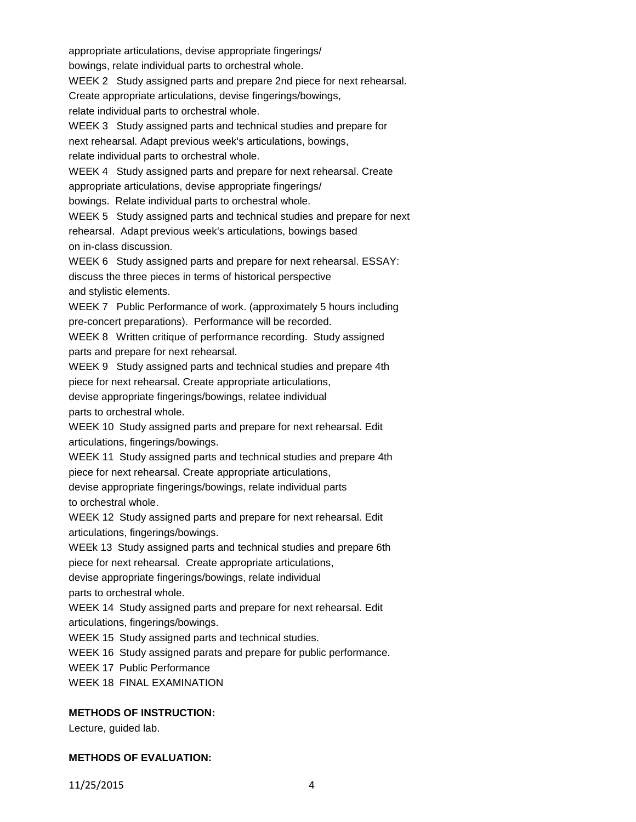appropriate articulations, devise appropriate fingerings/ bowings, relate individual parts to orchestral whole. WEEK 2 Study assigned parts and prepare 2nd piece for next rehearsal. Create appropriate articulations, devise fingerings/bowings, relate individual parts to orchestral whole. WEEK 3 Study assigned parts and technical studies and prepare for next rehearsal. Adapt previous week's articulations, bowings, relate individual parts to orchestral whole. WEEK 4 Study assigned parts and prepare for next rehearsal. Create appropriate articulations, devise appropriate fingerings/ bowings. Relate individual parts to orchestral whole. WEEK 5 Study assigned parts and technical studies and prepare for next rehearsal. Adapt previous week's articulations, bowings based on in-class discussion. WEEK 6 Study assigned parts and prepare for next rehearsal. ESSAY: discuss the three pieces in terms of historical perspective and stylistic elements. WEEK 7 Public Performance of work. (approximately 5 hours including pre-concert preparations). Performance will be recorded. WEEK 8 Written critique of performance recording. Study assigned parts and prepare for next rehearsal. WEEK 9 Study assigned parts and technical studies and prepare 4th piece for next rehearsal. Create appropriate articulations, devise appropriate fingerings/bowings, relatee individual parts to orchestral whole. WEEK 10 Study assigned parts and prepare for next rehearsal. Edit articulations, fingerings/bowings. WEEK 11 Study assigned parts and technical studies and prepare 4th piece for next rehearsal. Create appropriate articulations, devise appropriate fingerings/bowings, relate individual parts to orchestral whole. WEEK 12 Study assigned parts and prepare for next rehearsal. Edit articulations, fingerings/bowings. WEEk 13 Study assigned parts and technical studies and prepare 6th piece for next rehearsal. Create appropriate articulations, devise appropriate fingerings/bowings, relate individual parts to orchestral whole. WEEK 14 Study assigned parts and prepare for next rehearsal. Edit articulations, fingerings/bowings. WEEK 15 Study assigned parts and technical studies. WEEK 16 Study assigned parats and prepare for public performance. WEEK 17 Public Performance WEEK 18 FINAL EXAMINATION **METHODS OF INSTRUCTION:**

Lecture, guided lab.

# **METHODS OF EVALUATION:**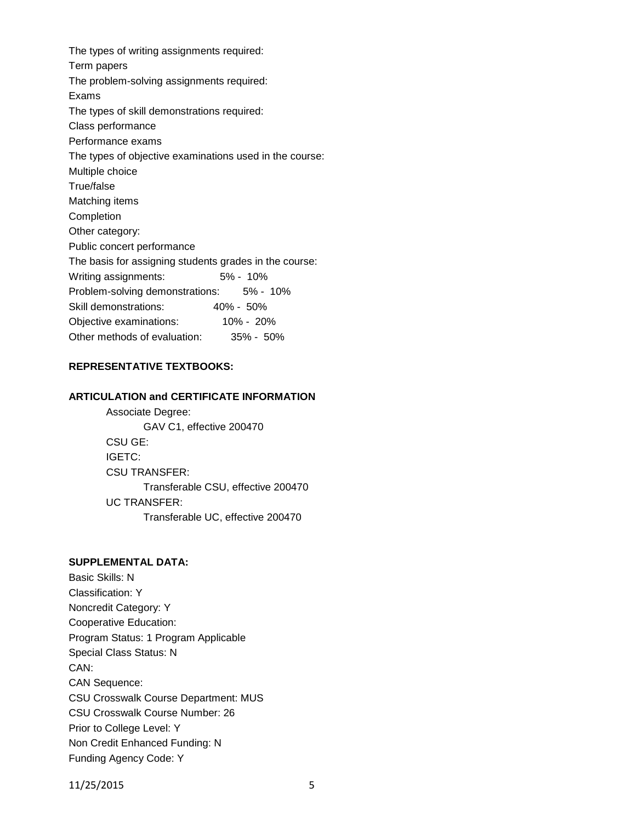The types of writing assignments required: Term papers The problem-solving assignments required: Exams The types of skill demonstrations required: Class performance Performance exams The types of objective examinations used in the course: Multiple choice True/false Matching items Completion Other category: Public concert performance The basis for assigning students grades in the course: Writing assignments: 5% - 10% Problem-solving demonstrations: 5% - 10% Skill demonstrations: 40% - 50% Objective examinations: 10% - 20% Other methods of evaluation: 35% - 50%

# **REPRESENTATIVE TEXTBOOKS:**

## **ARTICULATION and CERTIFICATE INFORMATION**

Associate Degree: GAV C1, effective 200470 CSU GE: IGETC: CSU TRANSFER: Transferable CSU, effective 200470 UC TRANSFER: Transferable UC, effective 200470

## **SUPPLEMENTAL DATA:**

Basic Skills: N Classification: Y Noncredit Category: Y Cooperative Education: Program Status: 1 Program Applicable Special Class Status: N CAN: CAN Sequence: CSU Crosswalk Course Department: MUS CSU Crosswalk Course Number: 26 Prior to College Level: Y Non Credit Enhanced Funding: N Funding Agency Code: Y

11/25/2015 5